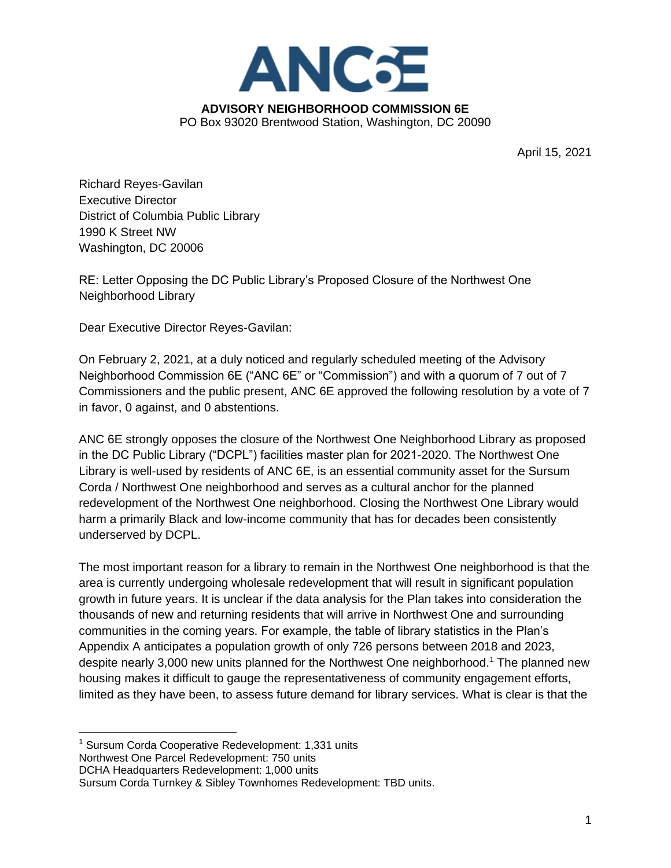

April 15, 2021

Richard Reyes-Gavilan Executive Director District of Columbia Public Library 1990 K Street NW Washington, DC 20006

RE: Letter Opposing the DC Public Library's Proposed Closure of the Northwest One Neighborhood Library

Dear Executive Director Reyes-Gavilan:

On February 2, 2021, at a duly noticed and regularly scheduled meeting of the Advisory Neighborhood Commission 6E ("ANC 6E" or "Commission") and with a quorum of 7 out of 7 Commissioners and the public present, ANC 6E approved the following resolution by a vote of 7 in favor, 0 against, and 0 abstentions.

ANC 6E strongly opposes the closure of the Northwest One Neighborhood Library as proposed in the DC Public Library ("DCPL") facilities master plan for 2021-2020. The Northwest One Library is well-used by residents of ANC 6E, is an essential community asset for the Sursum Corda / Northwest One neighborhood and serves as a cultural anchor for the planned redevelopment of the Northwest One neighborhood. Closing the Northwest One Library would harm a primarily Black and low-income community that has for decades been consistently underserved by DCPL.

The most important reason for a library to remain in the Northwest One neighborhood is that the area is currently undergoing wholesale redevelopment that will result in significant population growth in future years. It is unclear if the data analysis for the Plan takes into consideration the thousands of new and returning residents that will arrive in Northwest One and surrounding communities in the coming years. For example, the table of library statistics in the Plan's Appendix A anticipates a population growth of only 726 persons between 2018 and 2023, despite nearly 3,000 new units planned for the Northwest One neighborhood.<sup>1</sup> The planned new housing makes it difficult to gauge the representativeness of community engagement efforts, limited as they have been, to assess future demand for library services. What is clear is that the

Northwest One Parcel Redevelopment: 750 units

<sup>1</sup> Sursum Corda Cooperative Redevelopment: 1,331 units

DCHA Headquarters Redevelopment: 1,000 units

Sursum Corda Turnkey & Sibley Townhomes Redevelopment: TBD units.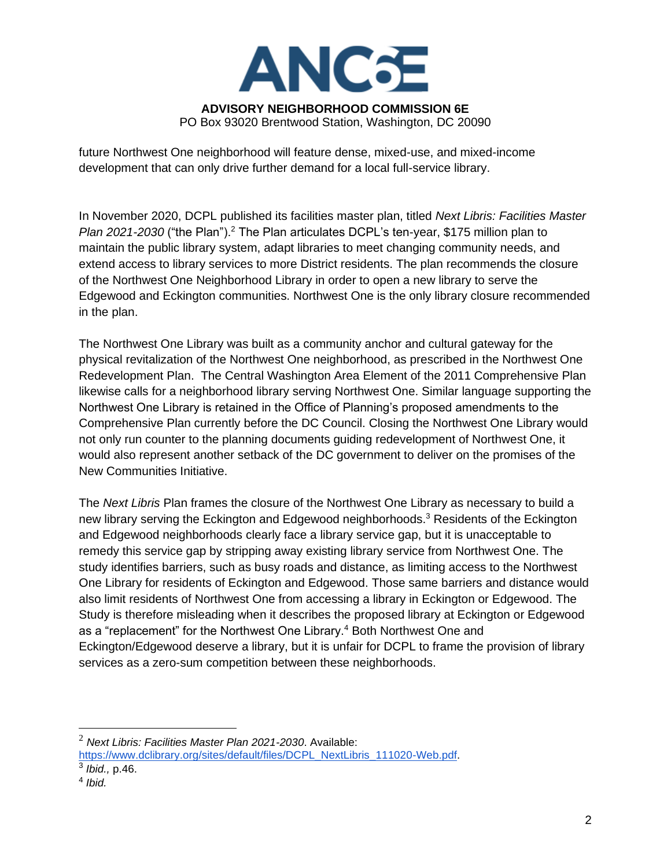

future Northwest One neighborhood will feature dense, mixed-use, and mixed-income development that can only drive further demand for a local full-service library.

In November 2020, DCPL published its facilities master plan, titled *Next Libris: Facilities Master Plan 2021-2030* ("the Plan").<sup>2</sup> The Plan articulates DCPL's ten-year, \$175 million plan to maintain the public library system, adapt libraries to meet changing community needs, and extend access to library services to more District residents. The plan recommends the closure of the Northwest One Neighborhood Library in order to open a new library to serve the Edgewood and Eckington communities. Northwest One is the only library closure recommended in the plan.

The Northwest One Library was built as a community anchor and cultural gateway for the physical revitalization of the Northwest One neighborhood, as prescribed in the Northwest One Redevelopment Plan. The Central Washington Area Element of the 2011 Comprehensive Plan likewise calls for a neighborhood library serving Northwest One. Similar language supporting the Northwest One Library is retained in the Office of Planning's proposed amendments to the Comprehensive Plan currently before the DC Council. Closing the Northwest One Library would not only run counter to the planning documents guiding redevelopment of Northwest One, it would also represent another setback of the DC government to deliver on the promises of the New Communities Initiative.

The *Next Libris* Plan frames the closure of the Northwest One Library as necessary to build a new library serving the Eckington and Edgewood neighborhoods.<sup>3</sup> Residents of the Eckington and Edgewood neighborhoods clearly face a library service gap, but it is unacceptable to remedy this service gap by stripping away existing library service from Northwest One. The study identifies barriers, such as busy roads and distance, as limiting access to the Northwest One Library for residents of Eckington and Edgewood. Those same barriers and distance would also limit residents of Northwest One from accessing a library in Eckington or Edgewood. The Study is therefore misleading when it describes the proposed library at Eckington or Edgewood as a "replacement" for the Northwest One Library.<sup>4</sup> Both Northwest One and Eckington/Edgewood deserve a library, but it is unfair for DCPL to frame the provision of library services as a zero-sum competition between these neighborhoods.

<sup>2</sup> *Next Libris: Facilities Master Plan 2021-2030*. Available:

[https://www.dclibrary.org/sites/default/files/DCPL\\_NextLibris\\_111020-Web.pdf.](https://www.dclibrary.org/sites/default/files/DCPL_NextLibris_111020-Web.pdf)

<sup>3</sup> *Ibid.,* p.46.

<sup>4</sup> *Ibid.*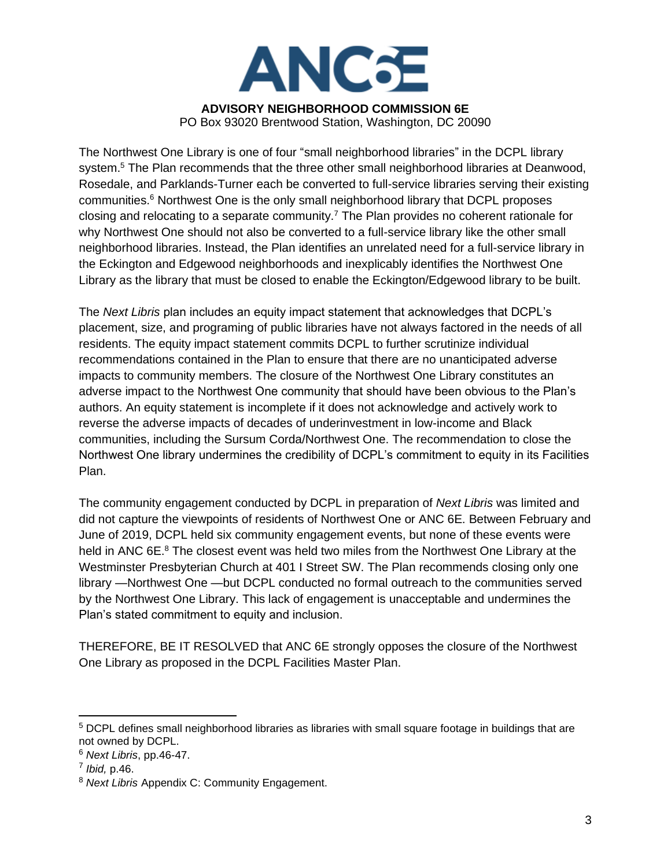

PO Box 93020 Brentwood Station, Washington, DC 20090

The Northwest One Library is one of four "small neighborhood libraries" in the DCPL library system.<sup>5</sup> The Plan recommends that the three other small neighborhood libraries at Deanwood, Rosedale, and Parklands-Turner each be converted to full-service libraries serving their existing communities.<sup>6</sup> Northwest One is the only small neighborhood library that DCPL proposes closing and relocating to a separate community.<sup>7</sup> The Plan provides no coherent rationale for why Northwest One should not also be converted to a full-service library like the other small neighborhood libraries. Instead, the Plan identifies an unrelated need for a full-service library in the Eckington and Edgewood neighborhoods and inexplicably identifies the Northwest One Library as the library that must be closed to enable the Eckington/Edgewood library to be built.

The *Next Libris* plan includes an equity impact statement that acknowledges that DCPL's placement, size, and programing of public libraries have not always factored in the needs of all residents. The equity impact statement commits DCPL to further scrutinize individual recommendations contained in the Plan to ensure that there are no unanticipated adverse impacts to community members. The closure of the Northwest One Library constitutes an adverse impact to the Northwest One community that should have been obvious to the Plan's authors. An equity statement is incomplete if it does not acknowledge and actively work to reverse the adverse impacts of decades of underinvestment in low-income and Black communities, including the Sursum Corda/Northwest One. The recommendation to close the Northwest One library undermines the credibility of DCPL's commitment to equity in its Facilities Plan.

The community engagement conducted by DCPL in preparation of *Next Libris* was limited and did not capture the viewpoints of residents of Northwest One or ANC 6E. Between February and June of 2019, DCPL held six community engagement events, but none of these events were held in ANC 6E.<sup>8</sup> The closest event was held two miles from the Northwest One Library at the Westminster Presbyterian Church at 401 I Street SW. The Plan recommends closing only one library —Northwest One —but DCPL conducted no formal outreach to the communities served by the Northwest One Library. This lack of engagement is unacceptable and undermines the Plan's stated commitment to equity and inclusion.

THEREFORE, BE IT RESOLVED that ANC 6E strongly opposes the closure of the Northwest One Library as proposed in the DCPL Facilities Master Plan.

<sup>5</sup> DCPL defines small neighborhood libraries as libraries with small square footage in buildings that are not owned by DCPL.

<sup>6</sup> *Next Libris*, pp.46-47.

<sup>7</sup> *Ibid,* p.46.

<sup>8</sup> *Next Libris* Appendix C: Community Engagement.